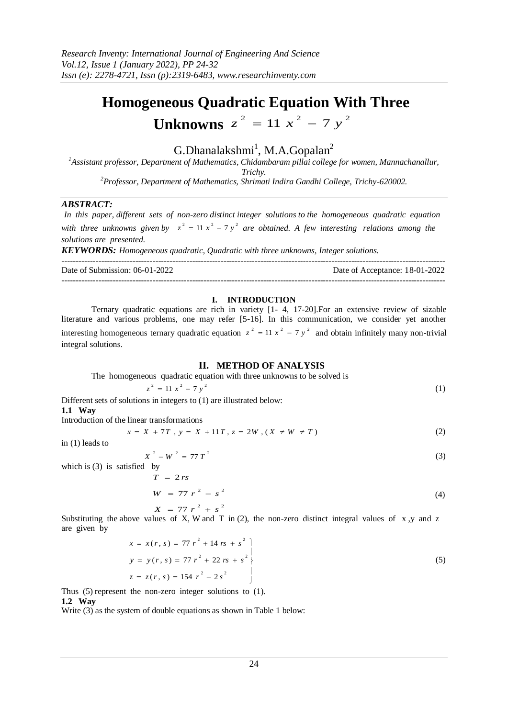# **Homogeneous Quadratic Equation With Three**

## **Unknowns**  $z^2 = 11 x^2 - 7 y^2$

### $G.D$ hanalakshmi<sup>1</sup>, M.A.Gopalan<sup>2</sup>

*<sup>1</sup>Assistant professor, Department of Mathematics, Chidambaram pillai college for women, Mannachanallur, Trichy. <sup>2</sup>Professor, Department of Mathematics, Shrimati Indira Gandhi College, Trichy-620002.*

#### *ABSTRACT:*

*In this paper, different sets of non-zero distinct integer solutions to the homogeneous quadratic equation*  with three unknowns given by  $z^2 = 11 x^2 - 7 y^2$  are obtained. A few interesting relations among the *solutions are presented.*

*KEYWORDS: Homogeneous quadratic, Quadratic with three unknowns, Integer solutions.*

 $-1.1$ 

Date of Submission: 06-01-2022 Date of Acceptance: 18-01-2022 ---------------------------------------------------------------------------------------------------------------------------------------

#### **I. INTRODUCTION**

Ternary quadratic equations are rich in variety [1- 4, 17-20].For an extensive review of sizable literature and various problems, one may refer [5-16]. In this communication, we consider yet another interesting homogeneous ternary quadratic equation  $z^2 = 11 x^2 - 7 y^2$  and obtain infinitely many non-trivial integral solutions.

#### **II. METHOD OF ANALYSIS**

The homogeneous quadratic equation with three unknowns to be solved is

$$
z^2 = 11 x^2 - 7 y^2 \tag{1}
$$

Different sets of solutions in integers to (1) are illustrated below: **1.1 Way** 

Introduction of the linear transformations

$$
x = X + 7T, y = X + 11T, z = 2W, (X \neq W \neq T)
$$
 (2)

in (1) leads to

$$
X^2 - W^2 = 77 T^2 \tag{3}
$$

which is (3) is satisfied by

 $X = 77 r^2 + s^2$  $W = 77 r^2 - s^2$  $T = 2 rs$ (4)

Substituting the above values of X, W and T in (2), the non-zero distinct integral values of x, y and z are given by

$$
x = x(r, s) = 77 r2 + 14 rs + s2
$$
  
\n
$$
y = y(r, s) = 77 r2 + 22 rs + s2
$$
  
\n
$$
z = z(r, s) = 154 r2 - 2s2
$$
 (5)

Thus (5) represent the non-zero integer solutions to (1). **1.2 Way** 

Write (3) as the system of double equations as shown in Table 1 below: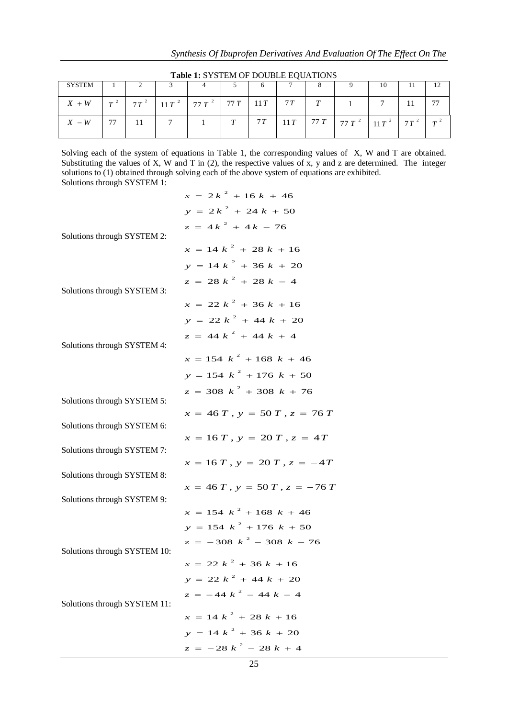|               |    |  | $\frac{1}{2}$                                     |   |    |  |                                                 |    |  |
|---------------|----|--|---------------------------------------------------|---|----|--|-------------------------------------------------|----|--|
| <b>SYSTEM</b> |    |  |                                                   |   |    |  |                                                 | 10 |  |
| $X + W$       |    |  | $T^2$ $7T^2$ $11T^2$ $77T^2$ $77T$ $11T$ $7T$ $T$ |   |    |  |                                                 |    |  |
| $X - W$       | 77 |  |                                                   | T | 7T |  | $11T$   77 T   77 T $^2$   $11T$ $^2$   77 $^2$ |    |  |

Table 1: SYSTEM OF DOUBLE EQUATIONS

Solving each of the system of equations in Table 1, the corresponding values of X, W and T are obtained. Substituting the values of X, W and T in (2), the respective values of x, y and z are determined. The integer solutions to (1) obtained through solving each of the above system of equations are exhibited. Solutions through SYSTEM 1:

|                              | $x = 2k^2 + 16k + 46$                           |
|------------------------------|-------------------------------------------------|
|                              | $y = 2k^2 + 24k + 50$                           |
|                              | $z = 4k^2 + 4k - 76$                            |
| Solutions through SYSTEM 2:  | $x = 14 k^2 + 28 k + 16$                        |
|                              | $y = 14 k^2 + 36 k + 20$                        |
|                              | $z = 28 k^2 + 28 k - 4$                         |
| Solutions through SYSTEM 3:  |                                                 |
|                              | $x = 22 k^2 + 36 k + 16$                        |
|                              | $y = 22 k^2 + 44 k + 20$                        |
|                              | $z = 44 k^{2} + 44 k + 4$                       |
| Solutions through SYSTEM 4:  | $x = 154 k^2 + 168 k + 46$                      |
|                              |                                                 |
|                              | $y = 154 k^2 + 176 k + 50$                      |
| Solutions through SYSTEM 5:  | $z = 308 \frac{k^2}{1} + 308 \frac{k}{1} + 76$  |
|                              | $x = 46 T$ , $y = 50 T$ , $z = 76 T$            |
| Solutions through SYSTEM 6:  |                                                 |
| Solutions through SYSTEM 7:  | $x = 16T$ , $y = 20T$ , $z = 4T$                |
|                              | $x = 16 T$ , $y = 20 T$ , $z = -4T$             |
| Solutions through SYSTEM 8:  |                                                 |
|                              | $x = 46 T$ , $y = 50 T$ , $z = -76 T$           |
| Solutions through SYSTEM 9:  | $x = 154 k^2 + 168 k + 46$                      |
|                              | $y = 154 k^2 + 176 k + 50$                      |
|                              | $z = -308 \frac{k^2}{ } - 308 \frac{k}{ } - 76$ |
| Solutions through SYSTEM 10: |                                                 |
|                              | $x = 22 k^2 + 36 k + 16$                        |
|                              | $y = 22 k^2 + 44 k + 20$                        |
| Solutions through SYSTEM 11: | $z = -44 k^2 - 44 k - 4$                        |
|                              | $x = 14 k^2 + 28 k + 16$                        |
|                              | $y = 14 k^2 + 36 k + 20$                        |
|                              | $z = -28 k^2 - 28 k + 4$                        |
|                              |                                                 |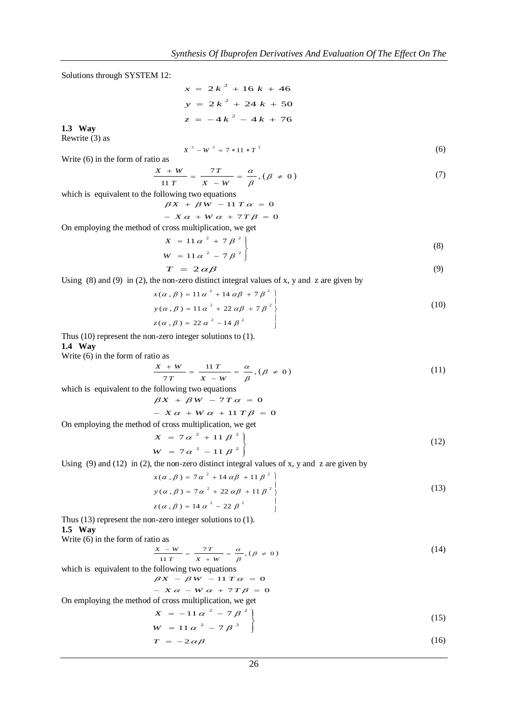Solutions through SYSTEM 12:

$$
x = 2k2 + 16k + 46
$$
  

$$
y = 2k2 + 24k + 50
$$
  

$$
z = -4k2 - 4k + 76
$$

**1.3 Way**

Rewrite (3) as

 $X^2 - W^2 = 7 * 11 * T^2$  (6)

Write (6) in the form of ratio as

$$
\frac{X+W}{11 T} = \frac{7T}{X-W} = \frac{\alpha}{\beta}, (\beta \neq 0)
$$
 (7)

which is equivalent to the following two equations

 $\beta X + \beta W - 11 T \alpha = 0$ 

$$
- X \alpha + W \alpha + 7T \beta = 0
$$

On employing the method of cross multiplication, we get

$$
X = 11 \alpha^{2} + 7 \beta^{2}
$$
  
\n
$$
W = 11 \alpha^{2} - 7 \beta^{2}
$$
\n(8)

$$
T = 2 \alpha \beta \tag{9}
$$

Using  $(8)$  and  $(9)$  in  $(2)$ , the non-zero distinct integral values of x, y and z are given by

$$
x(\alpha, \beta) = 11 \alpha^{2} + 14 \alpha \beta + 7 \beta^{2}
$$
  
\n
$$
y(\alpha, \beta) = 11 \alpha^{2} + 22 \alpha \beta + 7 \beta^{2}
$$
  
\n
$$
z(\alpha, \beta) = 22 \alpha^{2} - 14 \beta^{2}
$$
 (10)

Thus (10) represent the non-zero integer solutions to (1). **1.4 Way**

Write (6) in the form of ratio as

$$
\frac{X+W}{7T} = \frac{11 T}{X-W} = \frac{\alpha}{\beta}, (\beta \neq 0)
$$
\n(11)

which is equivalent to the following two equations

$$
\beta X + \beta W - 7T\alpha = 0
$$
  
- 
$$
X\alpha + W\alpha + 11T\beta = 0
$$

On employing the method of cross multiplication, we get

$$
X = 7\alpha^2 + 11\beta^2
$$
  
\n
$$
W = 7\alpha^2 - 11\beta^2
$$
\n(12)

Using (9) and (12) in (2), the non-zero distinct integral values of x, y and z are given by  
\n
$$
x(\alpha, \beta) = 7\alpha^2 + 14\alpha\beta + 11\beta^2
$$
\n
$$
y(\alpha, \beta) = 7\alpha^2 + 22\alpha\beta + 11\beta^2
$$
\n
$$
z(\alpha, \beta) = 14\alpha^2 - 22\beta^2
$$
\n(13)

Thus (13) represent the non-zero integer solutions to (1). **1.5 Way** 

Write (6) in the form of ratio as

#### $\frac{7T}{\phantom{0}} = \frac{\alpha}{\phantom{0}}$ ,  $(\beta \neq 0)$  $\frac{1-W}{11 T} = \frac{7T}{X+W} = \frac{\alpha}{\beta}, (\beta \neq$  $\frac{y}{x + w} = \frac{\alpha}{\beta}$ *T T*  $X - W$  7T  $\alpha$  (e + 0) (14)

which is equivalent to the following two equations

$$
\beta X - \beta W - 11 T \alpha = 0
$$
  
- 
$$
X \alpha - W \alpha + 7T \beta = 0
$$

$$
X\alpha - W\alpha + 7T\beta = 0
$$

On employing the method of cross multiplication, we get

$$
X = -11 \alpha^{2} - 7 \beta^{2}
$$
  
\n
$$
W = 11 \alpha^{2} - 7 \beta^{2}
$$
\n(15)

$$
T = -2 \alpha \beta \tag{16}
$$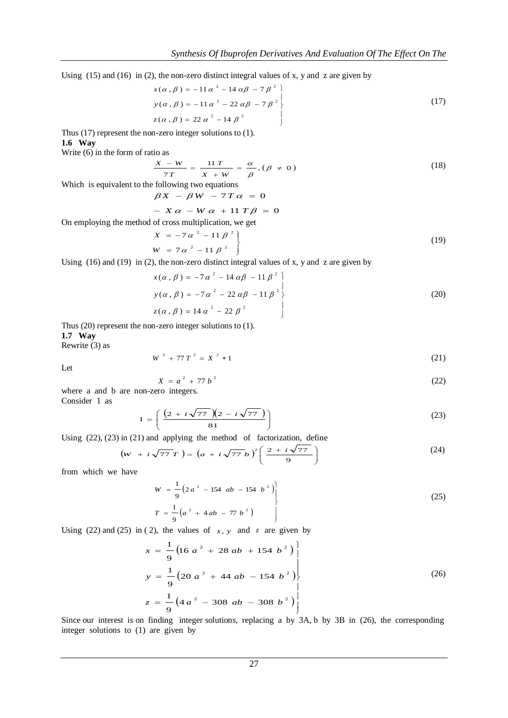Using (15) and (16) in (2), the non-zero distinct integral values of x, y and z are given by<br> $x(\alpha, \beta) = -11 \alpha^2 - 14 \alpha \beta - 7 \beta^2$ 

$$
x(\alpha, \beta) = -11 \alpha^{2} - 14 \alpha \beta - 7 \beta^{2}
$$
  
\n
$$
y(\alpha, \beta) = -11 \alpha^{2} - 22 \alpha \beta - 7 \beta^{2}
$$
  
\n
$$
z(\alpha, \beta) = 22 \alpha^{2} - 14 \beta^{2}
$$
\n(17)

Thus (17) represent the non-zero integer solutions to (1). **1.6 Way** 

Write (6) in the form of ratio as

$$
\frac{X - W}{7T} = \frac{11 T}{X + W} = \frac{\alpha}{\beta}, (\beta \neq 0)
$$
\n(18)

Which is equivalent to the following two equations

$$
\beta X - \beta W - 7T\alpha = 0
$$

$$
- X \alpha - W \alpha + 11 T \beta = 0
$$

On employing the method of cross multiplication, we get  $\sim$ 

$$
X = -7\alpha^2 - 11\beta^2 \nW = 7\alpha^2 - 11\beta^2
$$
\n(19)

Using (16) and (19) in (2), the non-zero distinct integral values of x, y and z are given by

$$
x(\alpha, \beta) = -7\alpha^{2} - 14\alpha\beta - 11\beta^{2}
$$
  
\n
$$
y(\alpha, \beta) = -7\alpha^{2} - 22\alpha\beta - 11\beta^{2}
$$
  
\n
$$
z(\alpha, \beta) = 14\alpha^{2} - 22\beta^{2}
$$
 (20)

Thus (20) represent the non-zero integer solutions to (1). **1.7 Way** 

Rewrite (3) as

$$
W^2 + 77 T^2 = X^2 * 1 \tag{21}
$$

Let

$$
X = a^2 + 77 b^2 \tag{22}
$$

where a and b are non-zero integers. Consider 1 as

$$
1 = \left(\frac{(2 + i\sqrt{77})(2 - i\sqrt{77})}{81}\right)
$$
 (23)

Using (22), (23) in (21) and applying the method of factorization, define

$$
\left(\boldsymbol{w} + i\sqrt{77} \boldsymbol{T}\right) = \left(\boldsymbol{a} + i\sqrt{77} \boldsymbol{b}\right)^2 \left(\frac{2 + i\sqrt{77}}{9}\right) \tag{24}
$$

from which we have

$$
W = \frac{1}{9} \left( 2 a^{2} - 154 ab - 154 b^{2} \right)
$$
  
\n
$$
T = \frac{1}{9} \left( a^{2} + 4 ab - 77 b^{2} \right)
$$
\n(25)

Using (22) and (25) in (2), the values of  $x, y$  and z are given by

$$
x = \frac{1}{9} \left( 16 a^{2} + 28 ab + 154 b^{2} \right)
$$
  
\n
$$
y = \frac{1}{9} \left( 20 a^{2} + 44 ab - 154 b^{2} \right)
$$
  
\n
$$
z = \frac{1}{9} \left( 4 a^{2} - 308 ab - 308 b^{2} \right)
$$
  
\n(26)

Since our interest is on finding integer solutions, replacing a by 3A, b by 3B in (26), the corresponding integer solutions to (1) are given by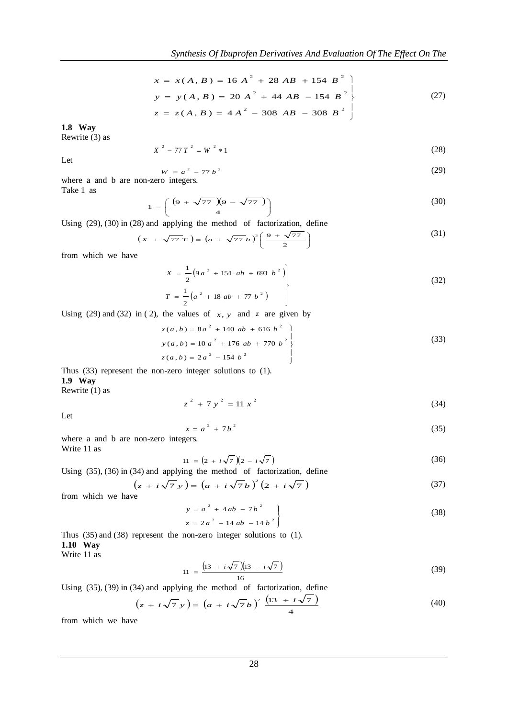$$
x = x(A, B) = 16 A2 + 28 AB + 154 B2
$$
  
\n
$$
y = y(A, B) = 20 A2 + 44 AB - 154 B2
$$
  
\n
$$
z = z(A, B) = 4 A2 - 308 AB - 308 B2
$$
 (27)

**1.8 Way** 

 Rewrite (3) as

$$
X^2 - 77T^2 = W^2 * 1 \tag{28}
$$

Let

$$
W = a^2 - 77 b^2 \tag{29}
$$

where a and b are non-zero integers. Take 1 as

$$
1 = \left(\frac{(9 + \sqrt{77})(9 - \sqrt{77})}{4}\right)
$$
 (30)

Using (29), (30) in (28) and applying the method of factorization, define

$$
\left(x + \sqrt{77} \, \text{T}\right) = \left(a + \sqrt{77} \, b\right)^2 \left(\frac{9 + \sqrt{77}}{2}\right) \tag{31}
$$

J

from which we have

$$
X = \frac{1}{2} \left( 9 a^{2} + 154 ab + 693 b^{2} \right)
$$
  

$$
T = \frac{1}{2} \left( a^{2} + 18 ab + 77 b^{2} \right)
$$
 (32)

Using (29) and (32) in (2), the values of  $x$ ,  $y$  and  $z$  are given by

$$
x(a, b) = 8a^{2} + 140ab + 616b^{2}
$$
  
\n
$$
y(a, b) = 10a^{2} + 176ab + 770b^{2}
$$
  
\n
$$
z(a, b) = 2a^{2} - 154b^{2}
$$
\n(33)

 Thus (33) represent the non-zero integer solutions to (1). **1.9 Way** 

Rewrite (1) as

$$
z^2 + 7y^2 = 11x^2 \tag{34}
$$

Let

$$
x = a2 + 7b2
$$
 (35)

where a and b are non-zero integers. Write 11 as

$$
11 = (2 + i\sqrt{7})(2 - i\sqrt{7})
$$
\n(36)

Using (35), (36) in (34) and applying the method of factorization, define

$$
(z + i\sqrt{7}y) = (a + i\sqrt{7}b)^{2}(2 + i\sqrt{7})
$$
\n(37)

from which we have

$$
y = a2 + 4ab - 7b2
$$
  
\n
$$
z = 2a2 - 14ab - 14b2
$$
 (38)

Thus (35) and (38) represent the non-zero integer solutions to (1). **1.10 Way** 

Write 11 as

$$
11 = \frac{\left(13 + i\sqrt{7}\right)\left(13 - i\sqrt{7}\right)}{16} \tag{39}
$$

Using (35), (39) in (34) and applying the method of factorization, define

$$
\left(z + i\sqrt{7}y\right) = \left(a + i\sqrt{7}b\right)^2 \frac{\left(13 + i\sqrt{7}\right)}{4} \tag{40}
$$

from which we have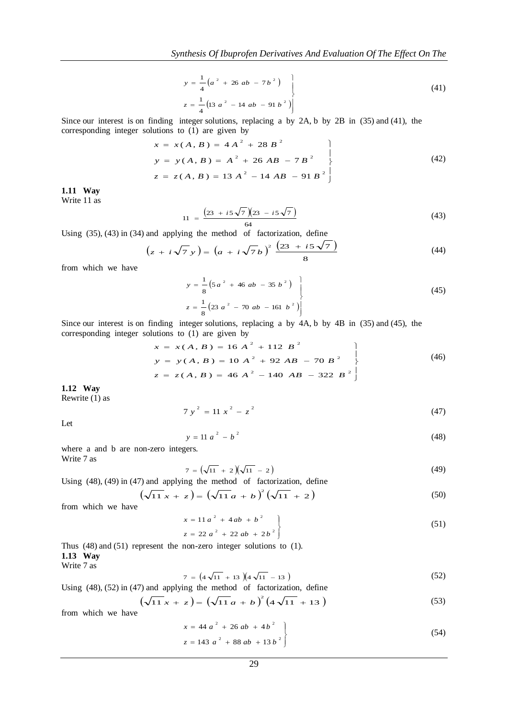$$
y = \frac{1}{4} \left( a^2 + 26 \ ab - 7 \ b^2 \right)
$$
  

$$
z = \frac{1}{4} \left( 13 \ a^2 - 14 \ ab - 91 \ b^2 \right)
$$
 (41)

Since our interest is on finding integer solutions, replacing a by 2A, b by 2B in (35) and (41), the corresponding integer solutions to (1) are given by

$$
x = x(A, B) = 4A2 + 28B2
$$
  
\n
$$
y = y(A, B) = A2 + 26AB - 7B2
$$
  
\n
$$
z = z(A, B) = 13A2 - 14AB - 91B2
$$
\n(42)

 Write 11 as **1.11 Way**

$$
11 = \frac{(23 + i5\sqrt{7})(23 - i5\sqrt{7})}{64}
$$
\n(43)

Using (35), (43) in (34) and applying the method of factorization, define

$$
(z + i\sqrt{7} y) = (a + i\sqrt{7}b)^2 \frac{(23 + i5\sqrt{7})}{8}
$$
 (44)

from which we have

$$
y = \frac{1}{8} \left( 5a^2 + 46ab - 35b^2 \right)
$$
  

$$
z = \frac{1}{8} \left( 23a^2 - 70ab - 161b^2 \right)
$$
 (45)

Since our interest is on finding integer solutions, replacing a by 4A, b by 4B in (35) and (45), the corresponding integer solutions to (1) are given by

$$
x = x(A, B) = 16 A2 + 112 B2
$$
  
\n
$$
y = y(A, B) = 10 A2 + 92 AB - 70 B2
$$
  
\n
$$
z = z(A, B) = 46 A2 - 140 AB - 322 B2
$$
 (46)

**1.12 Way**

Rewrite  $(1)$  as

Let

$$
7y^2 = 11x^2 - z^2 \tag{47}
$$

 $y = 11 a^2 - b^2$  (48)

where a and b are non-zero integers. Write 7 as

$$
7 = \left(\sqrt{11} + 2\right)\left(\sqrt{11} - 2\right) \tag{49}
$$

Using (48), (49) in (47) and applying the method of factorization, define

$$
\left(\sqrt{11}x + z\right) = \left(\sqrt{11}a + b\right)^2 \left(\sqrt{11} + 2\right) \tag{50}
$$

from which we have

$$
\begin{aligned}\nx &= 11a^2 + 4ab + b^2 \\
z &= 22a^2 + 22ab + 2b^2\n\end{aligned}
$$
\n(51)

Thus (48) and (51) represent the non-zero integer solutions to (1). **1.13 Way** Write 7 as

$$
7 = \left(4\sqrt{11} + 13\right)\left(4\sqrt{11} - 13\right) \tag{52}
$$

Using (48), (52) in (47) and applying the method of factorization, define

$$
(\sqrt{11}x + z) = (\sqrt{11}a + b)^{2} (4\sqrt{11} + 13)
$$
\n(53)

from which we have

$$
\begin{aligned}\nx &= 44 \, a^2 + 26 \, ab + 4 \, b^2 \\
z &= 143 \, a^2 + 88 \, ab + 13 \, b^2\n\end{aligned}\n\tag{54}
$$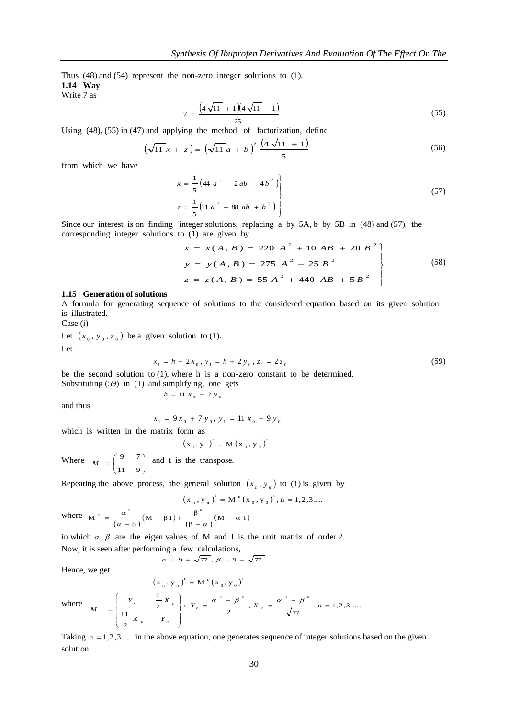Thus (48) and (54) represent the non-zero integer solutions to (1). **1.14 Way**

Write 7 as

$$
7 = \frac{\left(4\sqrt{11} + 1\right)\left(4\sqrt{11} - 1\right)}{25} \tag{55}
$$

Using  $(48)$ ,  $(55)$  in  $(47)$  and applying the method of factorization, define

$$
\left(\sqrt{11} x + z\right) = \left(\sqrt{11} a + b\right)^2 \frac{\left(4\sqrt{11} + 1\right)}{5} \tag{56}
$$

from which we have

$$
\begin{aligned}\nx &= \frac{1}{5} \left( 44 \ a^2 + 2 \ a b + 4 \ b^2 \right) \\
z &= \frac{1}{5} \left( 11 \ a^2 + 88 \ a b + b^2 \right)\n\end{aligned}
$$
\n(57)

Since our interest is on finding integer solutions, replacing a by 5A, b by 5B in (48) and (57), the corresponding integer solutions to (1) are given by<br>  $x = x(A, B) = 220 A^2 + 10 AB + 20 B$ 

$$
x = x(A, B) = 220 A2 + 10 AB + 20 B2
$$
  
\n
$$
y = y(A, B) = 275 A2 - 25 B2
$$
  
\n
$$
z = z(A, B) = 55 A2 + 440 AB + 5B2
$$
\n(58)

#### **1.15 Generation of solutions**

 A formula for generating sequence of solutions to the considered equation based on its given solution is illustrated.

Case (i)

Let  $(x_0, y_0, z_0)$  be a given solution to (1).

Let

$$
x_1 = h - 2x_0, y_1 = h + 2y_0, z_1 = 2z_0
$$
\n<sup>(59)</sup>

be the second solution to (1), where h is a non-zero constant to be determined.<br>Substituting  $(59)$  in (1) and simplifying, one gets Substituting  $(59)$  in  $(1)$  and simplifying, one gets

$$
ln(g(39) \text{ in (1) and simplifying, one g}
$$

$$
h = 11 x_0 + 7 y_0
$$

and thus

$$
x_1 = 9x_0 + 7y_0, y_1 = 11x_0 + 9y_0
$$

which is written in the matrix form as

 $\overline{\phantom{a}}$  $\begin{array}{c} \end{array}$ L

ſ  $\overline{a}$ 

l

2 11

$$
(x_1, y_1)^t = M(x_0, y_0)^t
$$

Where  $M = \begin{bmatrix} 9 & 7 \\ 11 & 0 \end{bmatrix}$ J ) I l  $=$ 11 9  $M = \begin{pmatrix} 9 & 7 \\ 7 & 7 \end{pmatrix}$  and t is the transpose.

Repeating the above process, the general solution 
$$
(x_n, y_n)
$$
 to (1) is given by

$$
(x_n, y_n)^t = M^n (x_0, y_0)^t, n = 1, 2, 3...
$$
  
+  $\frac{\beta^n}{}$  (M -  $\alpha$  I)

where  $M^{n} = \frac{\alpha^{n}}{(\alpha - \beta)} (M - \beta I) + \frac{\beta^{n}}{(\beta - \alpha)} (M - \alpha I)$  $\frac{\alpha^{n}}{\alpha - \beta} (M - \beta I) + \frac{\beta}{(\beta - \beta)}$  $=\frac{\alpha}{\alpha}$ 

*n n*

2 7

*X Y*

 $Y_{n}$   $-X$ 

 $\begin{array}{cc} & | & I_n \\ n & | & \end{array}$   $\begin{array}{cc} & \overline{2} & \overline{A} & n \\ & \overline{2} & \end{array}$ 

in which  $\alpha$ ,  $\beta$  are the eigen values of M and I is the unit matrix of order 2. Now, it is seen after performing a few calculations,

$$
\alpha = 9 + \sqrt{77}, \beta = 9 - \sqrt{77}
$$

Hence, we get

$$
(x_n, y_n)^t = M^n (x_0, y_0)^t
$$

*n*

  $\begin{array}{c} \end{array}$  $\overline{\phantom{a}}$ 

١

J

where *M*

Taking  $n = 1,2,3...$  in the above equation, one generates sequence of integer solutions based on the given solution.

*n n*

,  $Y_{n} = \frac{\alpha + \beta}{\alpha + \beta}, X_{n} = \frac{\alpha - \beta}{\alpha - \beta}, n = 1, 2, 3 \dots$ 

 $Y_n = \frac{\alpha^n + \beta^n}{2}, X_n = \frac{\alpha^n - \beta^n}{\sqrt{77}}, n =$ *n*

 $\alpha$  " +  $\beta$  "  $\alpha$  " -  $\beta$ 

77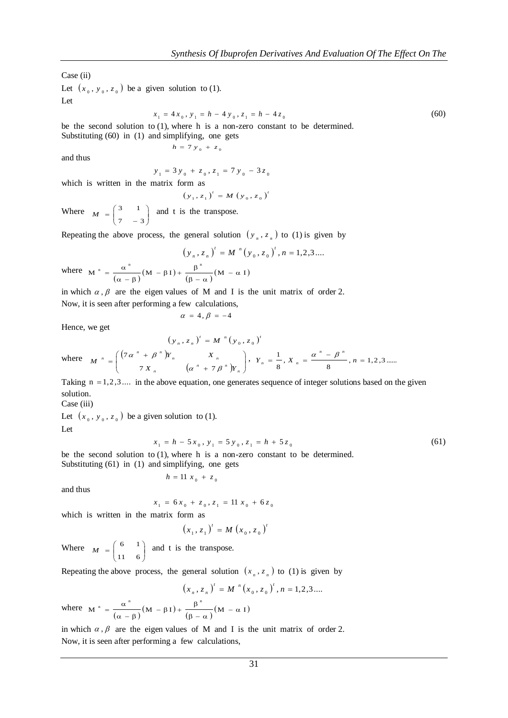Case (ii)

Let  $(x_0, y_0, z_0)$  be a given solution to (1). Let

$$
x_1 = 4x_0, y_1 = h - 4y_0, z_1 = h - 4z_0 \tag{60}
$$

be the second solution to (1), where h is a non-zero constant to be determined. Substituting (60) in (1) and simplifying, one gets

$$
h = 7 y_0 + z_0
$$

and thus

$$
y_1 = 3 y_0 + z_0, z_1 = 7 y_0 - 3 z_0
$$

which is written in the matrix form as

$$
(y_1, z_1)^t = M (y_0, z_0)^t
$$

Where  $M = \begin{pmatrix} 3 & 1 \\ 7 & 3 \end{pmatrix}$ J 丫 ļ l ſ  $=\begin{bmatrix} 7 & -3 \end{bmatrix}$  $M = \begin{pmatrix} 3 & 1 \end{pmatrix}$  and t is the transpose.

Repeating the above process, the general solution  $(y_n, z_n)$  to (1) is given by

$$
\left(y_{n}, z_{n}\right)^{t} = M^{n}\left(y_{0}, z_{0}\right)^{t}, n = 1, 2, 3, \dots
$$
\n
$$
\beta^{n} \left(y_{0}, z_{0}\right)^{t} = \sum_{n=1}^{n} \left(y_{0}, z_{0}\right)^{n} \left(y_{0}, z_{0}\right)^{n}
$$

where  $M^{n} = \frac{\alpha^{n}}{(\alpha - \beta)} (M - \beta I) + \frac{\beta^{n}}{(\beta - \alpha)} (M - \alpha I)$  $\frac{\alpha^{n}}{\alpha - \beta} (M - \beta I) + \frac{\beta}{(\beta - \beta)}$  $=\frac{\alpha}{\alpha}$ 

in which  $\alpha$ ,  $\beta$  are the eigen values of M and I is the unit matrix of order 2. Now, it is seen after performing a few calculations,

$$
\alpha = 4, \beta = -4
$$

Hence, we get

$$
(y_n, z_n)' = M'' (y_0, z_0)'
$$
  
where 
$$
M'' = \begin{pmatrix} (7\alpha^n + \beta^n)Y_n & X_n \\ 7X_n & (\alpha^n + 7\beta^n)Y_n \end{pmatrix}, Y_n = \frac{1}{8}, X_n = \frac{\alpha^n - \beta^n}{8}, n = 1, 2, 3 \dots
$$

Taking  $n = 1,2,3...$  in the above equation, one generates sequence of integer solutions based on the given solution.

Case (iii)

Let  $(x_0, y_0, z_0)$  be a given solution to (1). Let

$$
x_1 = h - 5x_0, y_1 = 5y_0, z_1 = h + 5z_0 \tag{61}
$$

be the second solution to (1), where h is a non-zero constant to be determined. Substituting (61) in (1) and simplifying, one gets

and th

$$
h = 11 x_0 + z_0
$$

$$
x_1 = 6x_0 + z_0, z_1 = 11x_0 + 6z_0
$$

which is written in the matrix form as

$$
(x_1, z_1)^t = M (x_0, z_0)^t
$$

Where  $M = \begin{bmatrix} 0 & 1 \\ 1 & 6 \end{bmatrix}$ J ) I l  $=$ 11 6  $M = \begin{pmatrix} 6 & 1 \\ 1 & 1 \end{pmatrix}$  and t is the transpose.

Repeating the above process, the general solution  $(x_n, z_n)$  to (1) is given by

$$
(x_n, z_n)^t = M^{n}(x_0, z_0)^t, n = 1, 2, 3, \dots
$$

where  $M^{n} = \frac{\alpha^{n}}{(\alpha - \beta)} (M - \beta I) + \frac{\beta^{n}}{(\beta - \alpha)} (M - \alpha I)$  $\frac{\alpha^{n}}{\alpha - \beta} (M - \beta I) + \frac{\beta}{(\beta - \beta)}$  $=\frac{\alpha}{\alpha}$ 

in which  $\alpha$ ,  $\beta$  are the eigen values of M and I is the unit matrix of order 2. Now, it is seen after performing a few calculations,